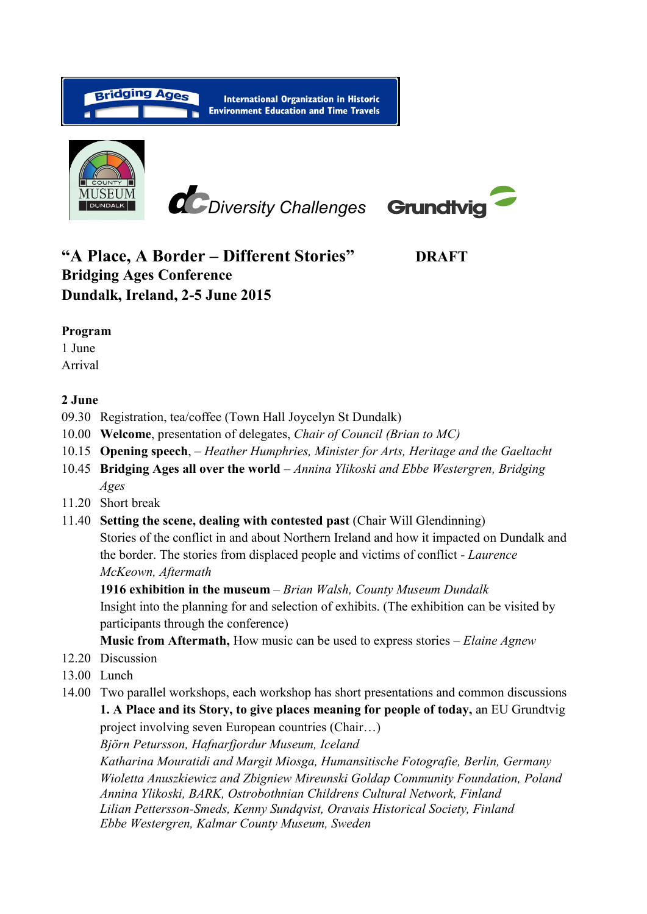

# **"A Place, A Border – Different Stories" DRAFT Bridging Ages Conference Dundalk, Ireland, 2-5 June 2015**

#### **Program**

1 June

Arrival

#### **2 June**

- 09.30 Registration, tea/coffee (Town Hall Joycelyn St Dundalk)
- 10.00 **Welcome**, presentation of delegates, *Chair of Council (Brian to MC)*
- 10.15 **Opening speech**, *Heather Humphries, Minister for Arts, Heritage and the Gaeltacht*
- 10.45 **Bridging Ages all over the world** *Annina Ylikoski and Ebbe Westergren, Bridging Ages*
- 11.20 Short break
- 11.40 **Setting the scene, dealing with contested past** (Chair Will Glendinning) Stories of the conflict in and about Northern Ireland and how it impacted on Dundalk and the border. The stories from displaced people and victims of conflict - *Laurence McKeown, Aftermath*

**1916 exhibition in the museum** – *Brian Walsh, County Museum Dundalk* Insight into the planning for and selection of exhibits. (The exhibition can be visited by participants through the conference)

**Music from Aftermath,** How music can be used to express stories – *Elaine Agnew*

- 12.20 Discussion
- 13.00 Lunch
- 14.00 Two parallel workshops, each workshop has short presentations and common discussions **1. A Place and its Story, to give places meaning for people of today,** an EU Grundtvig project involving seven European countries (Chair…)

*Björn Petursson, Hafnarfjordur Museum, Iceland*

*Katharina Mouratidi and Margit Miosga, Humansitische Fotografie, Berlin, Germany Wioletta Anuszkiewicz and Zbigniew Mireunski Goldap Community Foundation, Poland Annina Ylikoski, BARK, Ostrobothnian Childrens Cultural Network, Finland Lilian Pettersson-Smeds, Kenny Sundqvist, Oravais Historical Society, Finland Ebbe Westergren, Kalmar County Museum, Sweden*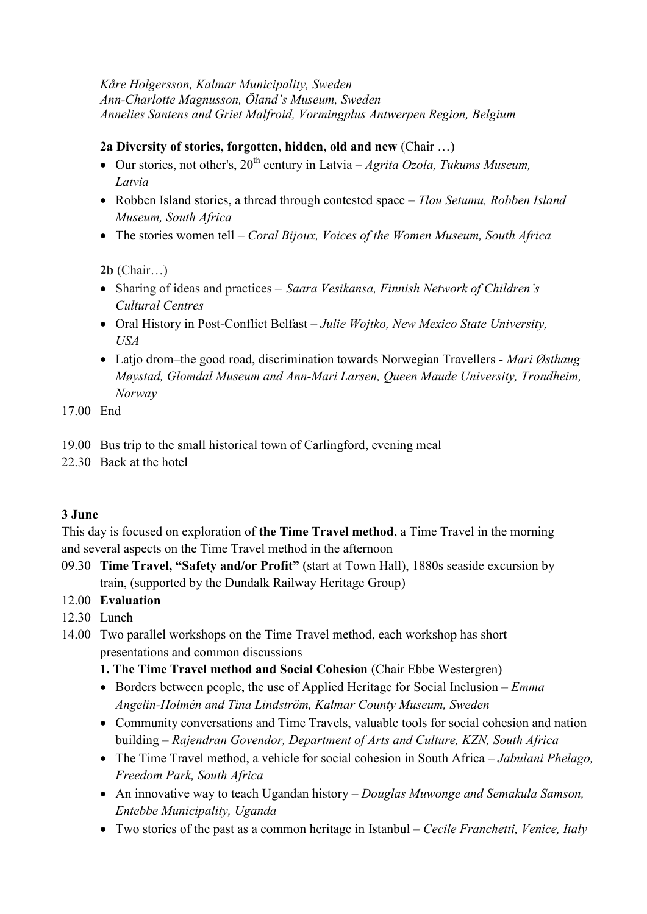#### *Kåre Holgersson, Kalmar Municipality, Sweden Ann-Charlotte Magnusson, Öland's Museum, Sweden Annelies Santens and Griet Malfroid, Vormingplus Antwerpen Region, Belgium*

## **2a Diversity of stories, forgotten, hidden, old and new** (Chair …)

- Our stories, not other's, 20<sup>th</sup> century in Latvia *Agrita Ozola, Tukums Museum, Latvia*
- Robben Island stories, a thread through contested space *Tlou Setumu, Robben Island Museum, South Africa*
- The stories women tell *Coral Bijoux, Voices of the Women Museum, South Africa*

**2b** (Chair…)

- Sharing of ideas and practices *Saara Vesikansa, Finnish Network of Children's Cultural Centres*
- Oral History in Post-Conflict Belfast *– Julie Wojtko, New Mexico State University, USA*
- Latjo drom–the good road, discrimination towards Norwegian Travellers *Mari Østhaug Møystad, Glomdal Museum and Ann-Mari Larsen, Queen Maude University, Trondheim, Norway*

17.00 End

- 19.00 Bus trip to the small historical town of Carlingford, evening meal
- 22.30 Back at the hotel

## **3 June**

This day is focused on exploration of **the Time Travel method**, a Time Travel in the morning and several aspects on the Time Travel method in the afternoon

09.30 **Time Travel, "Safety and/or Profit"** (start at Town Hall), 1880s seaside excursion by train, (supported by the Dundalk Railway Heritage Group)

12.00 **Evaluation**

- 12.30 Lunch
- 14.00 Two parallel workshops on the Time Travel method, each workshop has short presentations and common discussions
	- **1. The Time Travel method and Social Cohesion** (Chair Ebbe Westergren)
	- Borders between people, the use of Applied Heritage for Social Inclusion *Emma Angelin-Holmén and Tina Lindström, Kalmar County Museum, Sweden*
	- Community conversations and Time Travels, valuable tools for social cohesion and nation building – *Rajendran Govendor, Department of Arts and Culture, KZN, South Africa*
	- The Time Travel method, a vehicle for social cohesion in South Africa *Jabulani Phelago, Freedom Park, South Africa*
	- An innovative way to teach Ugandan history *Douglas Muwonge and Semakula Samson, Entebbe Municipality, Uganda*
	- Two stories of the past as a common heritage in Istanbul *Cecile Franchetti, Venice, Italy*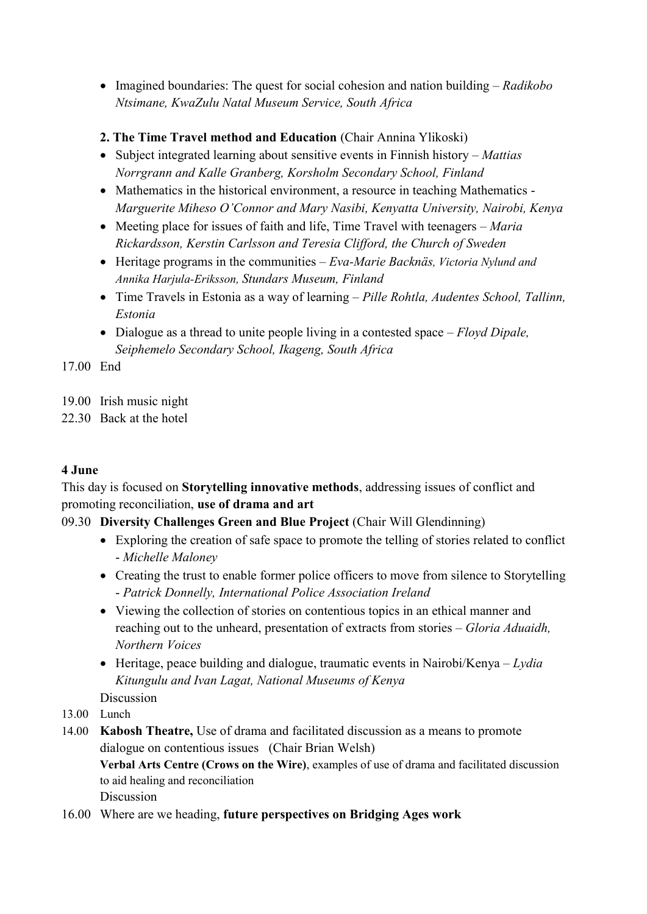- Imagined boundaries: The quest for social cohesion and nation building *Radikobo Ntsimane, KwaZulu Natal Museum Service, South Africa*
- **2. The Time Travel method and Education** (Chair Annina Ylikoski)
- Subject integrated learning about sensitive events in Finnish history *Mattias Norrgrann and Kalle Granberg, Korsholm Secondary School, Finland*
- Mathematics in the historical environment, a resource in teaching Mathematics -*Marguerite Miheso O'Connor and Mary Nasibi, Kenyatta University, Nairobi, Kenya*
- Meeting place for issues of faith and life, Time Travel with teenagers *Maria Rickardsson, Kerstin Carlsson and Teresia Clifford, the Church of Sweden*
- Heritage programs in the communities *Eva-Marie Backnäs, Victoria Nylund and Annika Harjula-Eriksson, Stundars Museum, Finland*
- Time Travels in Estonia as a way of learning *Pille Rohtla, Audentes School, Tallinn, Estonia*
- Dialogue as a thread to unite people living in a contested space *Floyd Dipale, Seiphemelo Secondary School, Ikageng, South Africa*

17.00 End

- 19.00 Irish music night
- 22.30 Back at the hotel

## **4 June**

This day is focused on **Storytelling innovative methods**, addressing issues of conflict and promoting reconciliation, **use of drama and art**

## 09.30 **Diversity Challenges Green and Blue Project** (Chair Will Glendinning)

- Exploring the creation of safe space to promote the telling of stories related to conflict - *Michelle Maloney*
- Creating the trust to enable former police officers to move from silence to Storytelling - *Patrick Donnelly, International Police Association Ireland*
- Viewing the collection of stories on contentious topics in an ethical manner and reaching out to the unheard, presentation of extracts from stories – *Gloria Aduaidh, Northern Voices*
- Heritage, peace building and dialogue, traumatic events in Nairobi/Kenya *Lydia Kitungulu and Ivan Lagat, National Museums of Kenya* **Discussion**
- 
- 13.00 Lunch
- 14.00 **Kabosh Theatre,** Use of drama and facilitated discussion as a means to promote dialogue on contentious issues (Chair Brian Welsh) **Verbal Arts Centre (Crows on the Wire)**, examples of use of drama and facilitated discussion to aid healing and reconciliation **Discussion**
- 16.00 Where are we heading, **future perspectives on Bridging Ages work**